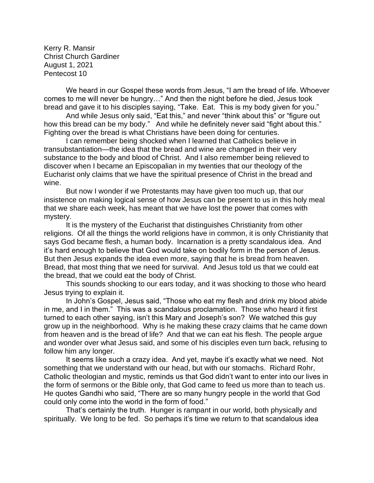Kerry R. Mansir Christ Church Gardiner August 1, 2021 Pentecost 10

We heard in our Gospel these words from Jesus, "I am the bread of life. Whoever comes to me will never be hungry…" And then the night before he died, Jesus took bread and gave it to his disciples saying, "Take. Eat. This is my body given for you."

And while Jesus only said, "Eat this," and never "think about this" or "figure out how this bread can be my body." And while he definitely never said "fight about this." Fighting over the bread is what Christians have been doing for centuries.

I can remember being shocked when I learned that Catholics believe in transubstantiation—the idea that the bread and wine are changed in their very substance to the body and blood of Christ. And I also remember being relieved to discover when I became an Episcopalian in my twenties that our theology of the Eucharist only claims that we have the spiritual presence of Christ in the bread and wine.

But now I wonder if we Protestants may have given too much up, that our insistence on making logical sense of how Jesus can be present to us in this holy meal that we share each week, has meant that we have lost the power that comes with mystery.

It is the mystery of the Eucharist that distinguishes Christianity from other religions. Of all the things the world religions have in common, it is only Christianity that says God became flesh, a human body. Incarnation is a pretty scandalous idea. And it's hard enough to believe that God would take on bodily form in the person of Jesus. But then Jesus expands the idea even more, saying that he is bread from heaven. Bread, that most thing that we need for survival. And Jesus told us that we could eat the bread, that we could eat the body of Christ.

This sounds shocking to our ears today, and it was shocking to those who heard Jesus trying to explain it.

In John's Gospel, Jesus said, "Those who eat my flesh and drink my blood abide in me, and I in them." This was a scandalous proclamation. Those who heard it first turned to each other saying, isn't this Mary and Joseph's son? We watched this guy grow up in the neighborhood. Why is he making these crazy claims that he came down from heaven and is the bread of life? And that we can eat his flesh. The people argue and wonder over what Jesus said, and some of his disciples even turn back, refusing to follow him any longer.

It seems like such a crazy idea. And yet, maybe it's exactly what we need. Not something that we understand with our head, but with our stomachs. Richard Rohr, Catholic theologian and mystic, reminds us that God didn't want to enter into our lives in the form of sermons or the Bible only, that God came to feed us more than to teach us. He quotes Gandhi who said, "There are so many hungry people in the world that God could only come into the world in the form of food."

That's certainly the truth. Hunger is rampant in our world, both physically and spiritually. We long to be fed. So perhaps it's time we return to that scandalous idea